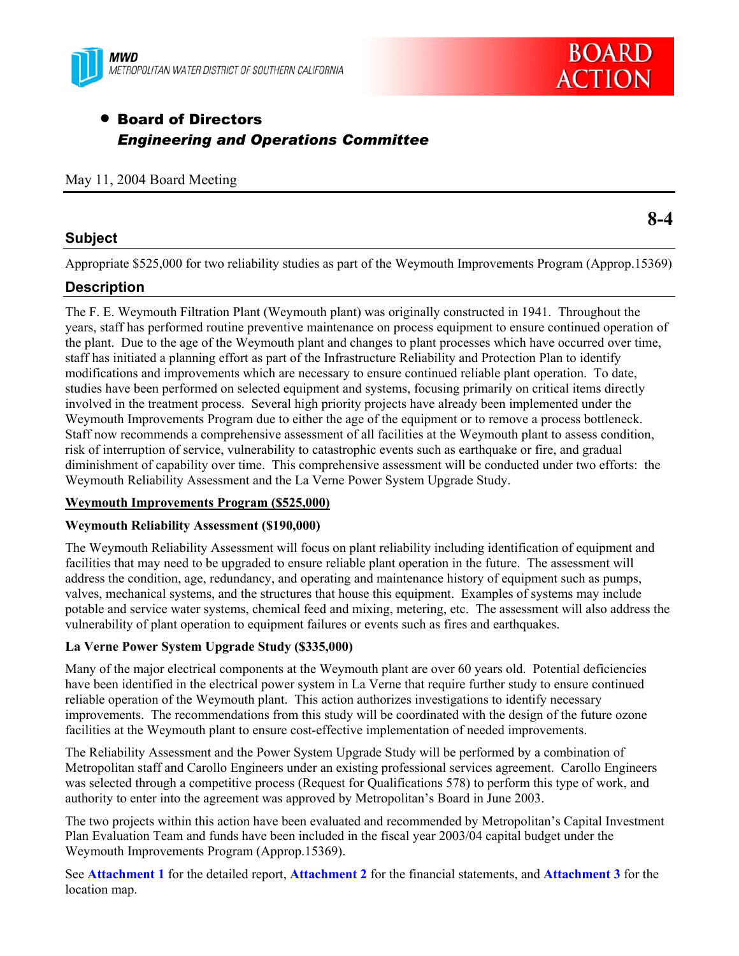



**8-4** 

# • Board of Directors *Engineering and Operations Committee*

### **Subject**

Appropriate \$525,000 for two reliability studies as part of the Weymouth Improvements Program (Approp.15369)

### **Description**

The F. E. Weymouth Filtration Plant (Weymouth plant) was originally constructed in 1941. Throughout the years, staff has performed routine preventive maintenance on process equipment to ensure continued operation of the plant. Due to the age of the Weymouth plant and changes to plant processes which have occurred over time, staff has initiated a planning effort as part of the Infrastructure Reliability and Protection Plan to identify modifications and improvements which are necessary to ensure continued reliable plant operation. To date, studies have been performed on selected equipment and systems, focusing primarily on critical items directly involved in the treatment process. Several high priority projects have already been implemented under the Weymouth Improvements Program due to either the age of the equipment or to remove a process bottleneck. Staff now recommends a comprehensive assessment of all facilities at the Weymouth plant to assess condition, risk of interruption of service, vulnerability to catastrophic events such as earthquake or fire, and gradual diminishment of capability over time. This comprehensive assessment will be conducted under two efforts: the Weymouth Reliability Assessment and the La Verne Power System Upgrade Study.

### **Weymouth Improvements Program (\$525,000)**

#### **Weymouth Reliability Assessment (\$190,000)**

The Weymouth Reliability Assessment will focus on plant reliability including identification of equipment and facilities that may need to be upgraded to ensure reliable plant operation in the future. The assessment will address the condition, age, redundancy, and operating and maintenance history of equipment such as pumps, valves, mechanical systems, and the structures that house this equipment. Examples of systems may include potable and service water systems, chemical feed and mixing, metering, etc. The assessment will also address the vulnerability of plant operation to equipment failures or events such as fires and earthquakes.

### **La Verne Power System Upgrade Study (\$335,000)**

Many of the major electrical components at the Weymouth plant are over 60 years old. Potential deficiencies have been identified in the electrical power system in La Verne that require further study to ensure continued reliable operation of the Weymouth plant. This action authorizes investigations to identify necessary improvements. The recommendations from this study will be coordinated with the design of the future ozone facilities at the Weymouth plant to ensure cost-effective implementation of needed improvements.

The Reliability Assessment and the Power System Upgrade Study will be performed by a combination of Metropolitan staff and Carollo Engineers under an existing professional services agreement. Carollo Engineers was selected through a competitive process (Request for Qualifications 578) to perform this type of work, and authority to enter into the agreement was approved by Metropolitan's Board in June 2003.

The two projects within this action have been evaluated and recommended by Metropolitan's Capital Investment Plan Evaluation Team and funds have been included in the fiscal year 2003/04 capital budget under the Weymouth Improvements Program (Approp.15369).

See **Attachment 1** for the detailed report, **Attachment 2** for the financial statements, and **Attachment 3** for the location map.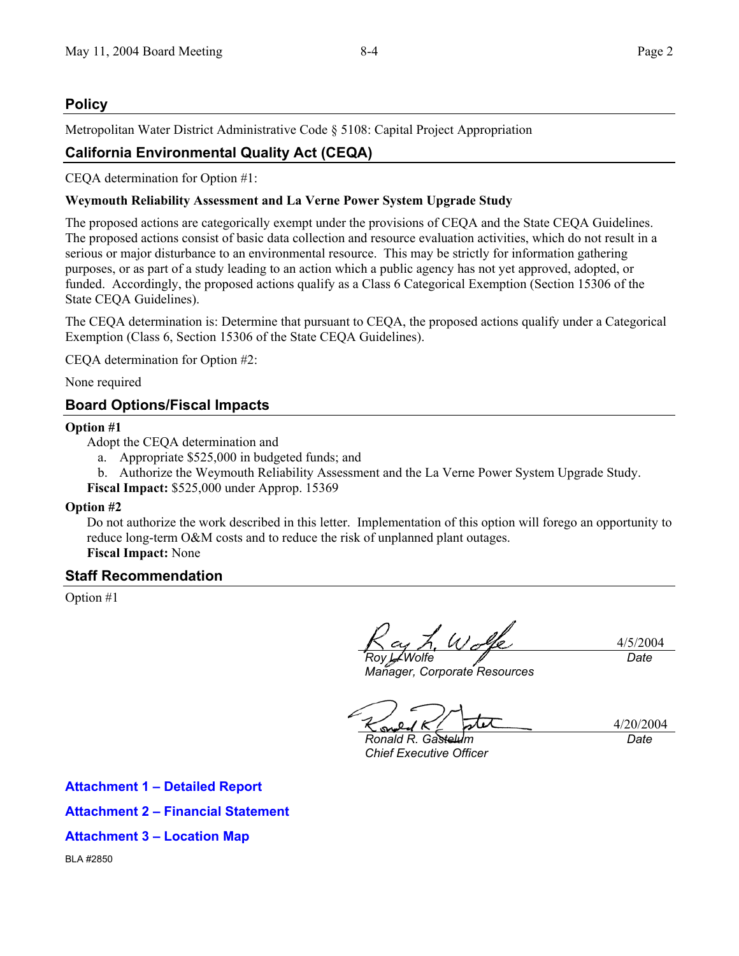### **Policy**

Metropolitan Water District Administrative Code § 5108: Capital Project Appropriation

# **California Environmental Quality Act (CEQA)**

CEQA determination for Option #1:

### **Weymouth Reliability Assessment and La Verne Power System Upgrade Study**

The proposed actions are categorically exempt under the provisions of CEQA and the State CEQA Guidelines. The proposed actions consist of basic data collection and resource evaluation activities, which do not result in a serious or major disturbance to an environmental resource. This may be strictly for information gathering purposes, or as part of a study leading to an action which a public agency has not yet approved, adopted, or funded. Accordingly, the proposed actions qualify as a Class 6 Categorical Exemption (Section 15306 of the State CEQA Guidelines).

The CEQA determination is: Determine that pursuant to CEQA, the proposed actions qualify under a Categorical Exemption (Class 6, Section 15306 of the State CEQA Guidelines).

CEQA determination for Option #2:

None required

## **Board Options/Fiscal Impacts**

### **Option #1**

Adopt the CEQA determination and

- a. Appropriate \$525,000 in budgeted funds; and
- b. Authorize the Weymouth Reliability Assessment and the La Verne Power System Upgrade Study.

**Fiscal Impact:** \$525,000 under Approp. 15369

#### **Option #2**

Do not authorize the work described in this letter. Implementation of this option will forego an opportunity to reduce long-term O&M costs and to reduce the risk of unplanned plant outages. **Fiscal Impact:** None

### **Staff Recommendation**

Option #1

*Roy L. Wolfe* 

4/5/2004 *Date* 

*Manager, Corporate Resources* 

*Ronald R. Gastelum Chief Executive Officer* 

4/20/2004 *Date* 

**Attachment 1 – Detailed Report Attachment 2 – Financial Statement Attachment 3 – Location Map**  BLA #2850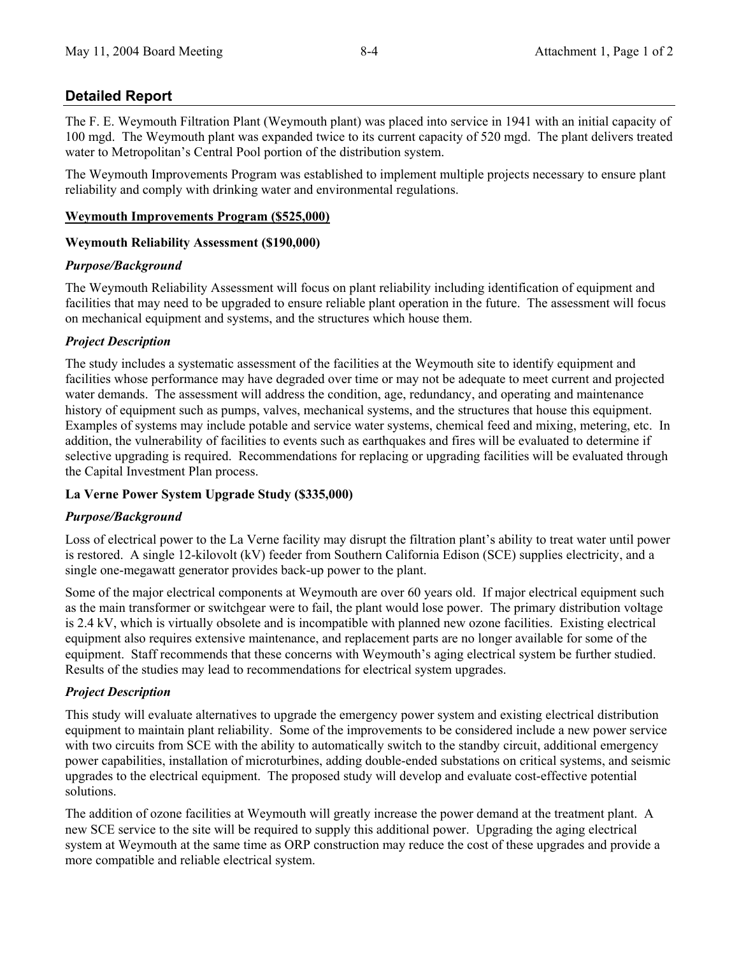### **Detailed Report**

The F. E. Weymouth Filtration Plant (Weymouth plant) was placed into service in 1941 with an initial capacity of 100 mgd. The Weymouth plant was expanded twice to its current capacity of 520 mgd. The plant delivers treated water to Metropolitan's Central Pool portion of the distribution system.

The Weymouth Improvements Program was established to implement multiple projects necessary to ensure plant reliability and comply with drinking water and environmental regulations.

### **Weymouth Improvements Program (\$525,000)**

### **Weymouth Reliability Assessment (\$190,000)**

### *Purpose/Background*

The Weymouth Reliability Assessment will focus on plant reliability including identification of equipment and facilities that may need to be upgraded to ensure reliable plant operation in the future. The assessment will focus on mechanical equipment and systems, and the structures which house them.

### *Project Description*

The study includes a systematic assessment of the facilities at the Weymouth site to identify equipment and facilities whose performance may have degraded over time or may not be adequate to meet current and projected water demands. The assessment will address the condition, age, redundancy, and operating and maintenance history of equipment such as pumps, valves, mechanical systems, and the structures that house this equipment. Examples of systems may include potable and service water systems, chemical feed and mixing, metering, etc. In addition, the vulnerability of facilities to events such as earthquakes and fires will be evaluated to determine if selective upgrading is required. Recommendations for replacing or upgrading facilities will be evaluated through the Capital Investment Plan process.

### **La Verne Power System Upgrade Study (\$335,000)**

#### *Purpose/Background*

Loss of electrical power to the La Verne facility may disrupt the filtration plant's ability to treat water until power is restored. A single 12-kilovolt (kV) feeder from Southern California Edison (SCE) supplies electricity, and a single one-megawatt generator provides back-up power to the plant.

Some of the major electrical components at Weymouth are over 60 years old. If major electrical equipment such as the main transformer or switchgear were to fail, the plant would lose power. The primary distribution voltage is 2.4 kV, which is virtually obsolete and is incompatible with planned new ozone facilities. Existing electrical equipment also requires extensive maintenance, and replacement parts are no longer available for some of the equipment. Staff recommends that these concerns with Weymouth's aging electrical system be further studied. Results of the studies may lead to recommendations for electrical system upgrades.

### *Project Description*

This study will evaluate alternatives to upgrade the emergency power system and existing electrical distribution equipment to maintain plant reliability. Some of the improvements to be considered include a new power service with two circuits from SCE with the ability to automatically switch to the standby circuit, additional emergency power capabilities, installation of microturbines, adding double-ended substations on critical systems, and seismic upgrades to the electrical equipment. The proposed study will develop and evaluate cost-effective potential solutions.

The addition of ozone facilities at Weymouth will greatly increase the power demand at the treatment plant. A new SCE service to the site will be required to supply this additional power. Upgrading the aging electrical system at Weymouth at the same time as ORP construction may reduce the cost of these upgrades and provide a more compatible and reliable electrical system.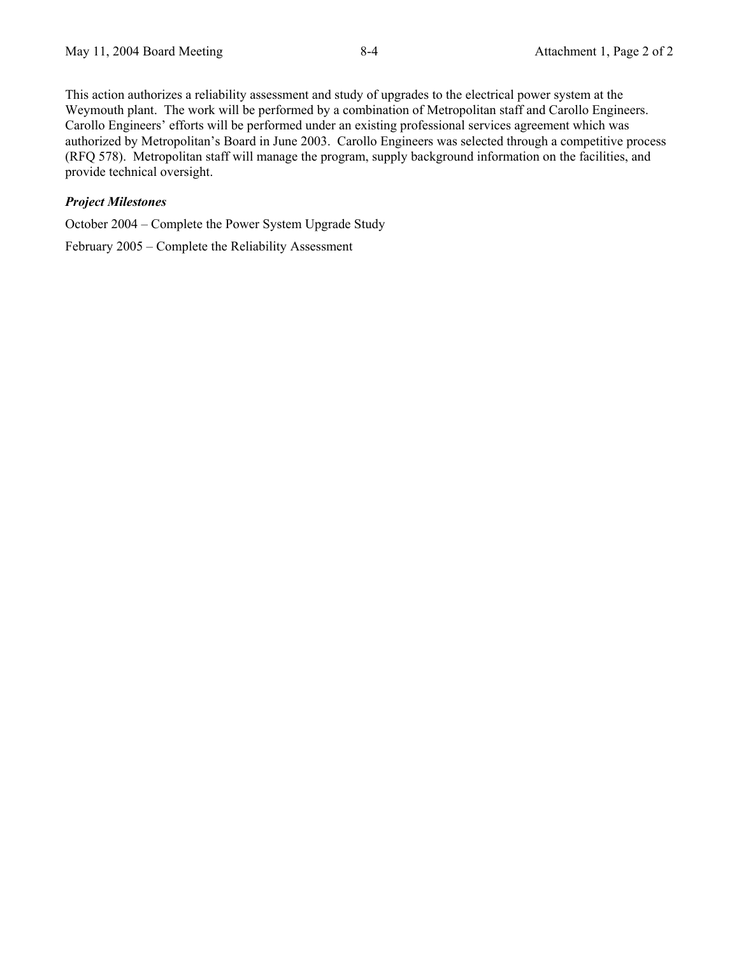This action authorizes a reliability assessment and study of upgrades to the electrical power system at the Weymouth plant. The work will be performed by a combination of Metropolitan staff and Carollo Engineers. Carollo Engineers' efforts will be performed under an existing professional services agreement which was authorized by Metropolitan's Board in June 2003. Carollo Engineers was selected through a competitive process (RFQ 578). Metropolitan staff will manage the program, supply background information on the facilities, and provide technical oversight.

### *Project Milestones*

October 2004 – Complete the Power System Upgrade Study

February 2005 – Complete the Reliability Assessment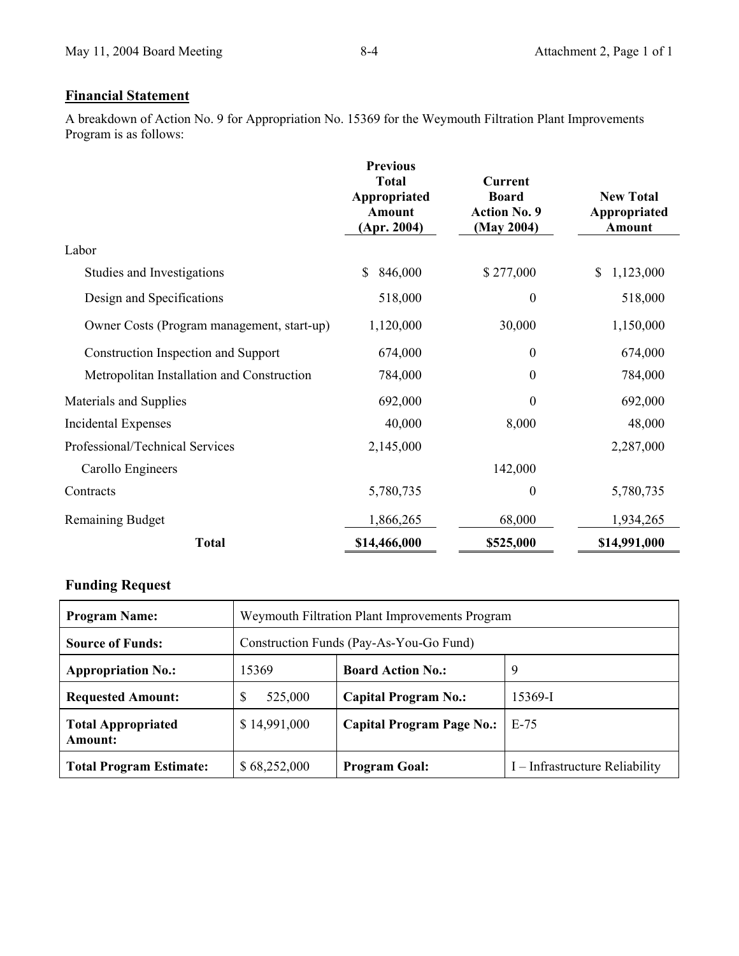# **Financial Statement**

A breakdown of Action No. 9 for Appropriation No. 15369 for the Weymouth Filtration Plant Improvements Program is as follows:

|                                            | <b>Previous</b><br><b>Total</b><br>Appropriated<br><b>Amount</b><br>(Apr. 2004) | <b>Current</b><br><b>Board</b><br><b>Action No. 9</b><br>(May 2004) | <b>New Total</b><br>Appropriated<br>Amount |
|--------------------------------------------|---------------------------------------------------------------------------------|---------------------------------------------------------------------|--------------------------------------------|
| Labor                                      |                                                                                 |                                                                     |                                            |
| Studies and Investigations                 | 846,000<br>\$                                                                   | \$277,000                                                           | 1,123,000<br>\$                            |
| Design and Specifications                  | 518,000                                                                         | $\boldsymbol{0}$                                                    | 518,000                                    |
| Owner Costs (Program management, start-up) | 1,120,000                                                                       | 30,000                                                              | 1,150,000                                  |
| Construction Inspection and Support        | 674,000                                                                         | $\boldsymbol{0}$                                                    | 674,000                                    |
| Metropolitan Installation and Construction | 784,000                                                                         | $\boldsymbol{0}$                                                    | 784,000                                    |
| Materials and Supplies                     | 692,000                                                                         | $\theta$                                                            | 692,000                                    |
| Incidental Expenses                        | 40,000                                                                          | 8,000                                                               | 48,000                                     |
| Professional/Technical Services            | 2,145,000                                                                       |                                                                     | 2,287,000                                  |
| Carollo Engineers                          |                                                                                 | 142,000                                                             |                                            |
| Contracts                                  | 5,780,735                                                                       | $\theta$                                                            | 5,780,735                                  |
| <b>Remaining Budget</b>                    | 1,866,265                                                                       | 68,000                                                              | 1,934,265                                  |
| <b>Total</b>                               | \$14,466,000                                                                    | \$525,000                                                           | \$14,991,000                               |

## **Funding Request**

| <b>Program Name:</b>                 | Weymouth Filtration Plant Improvements Program |                                  |                                |  |
|--------------------------------------|------------------------------------------------|----------------------------------|--------------------------------|--|
| <b>Source of Funds:</b>              | Construction Funds (Pay-As-You-Go Fund)        |                                  |                                |  |
| <b>Appropriation No.:</b>            | 15369                                          | <b>Board Action No.:</b>         | 9                              |  |
| <b>Requested Amount:</b>             | S<br>525,000                                   | <b>Capital Program No.:</b>      | 15369-I                        |  |
| <b>Total Appropriated</b><br>Amount: | \$14,991,000                                   | <b>Capital Program Page No.:</b> | $E-75$                         |  |
| <b>Total Program Estimate:</b>       | \$68,252,000                                   | <b>Program Goal:</b>             | I – Infrastructure Reliability |  |